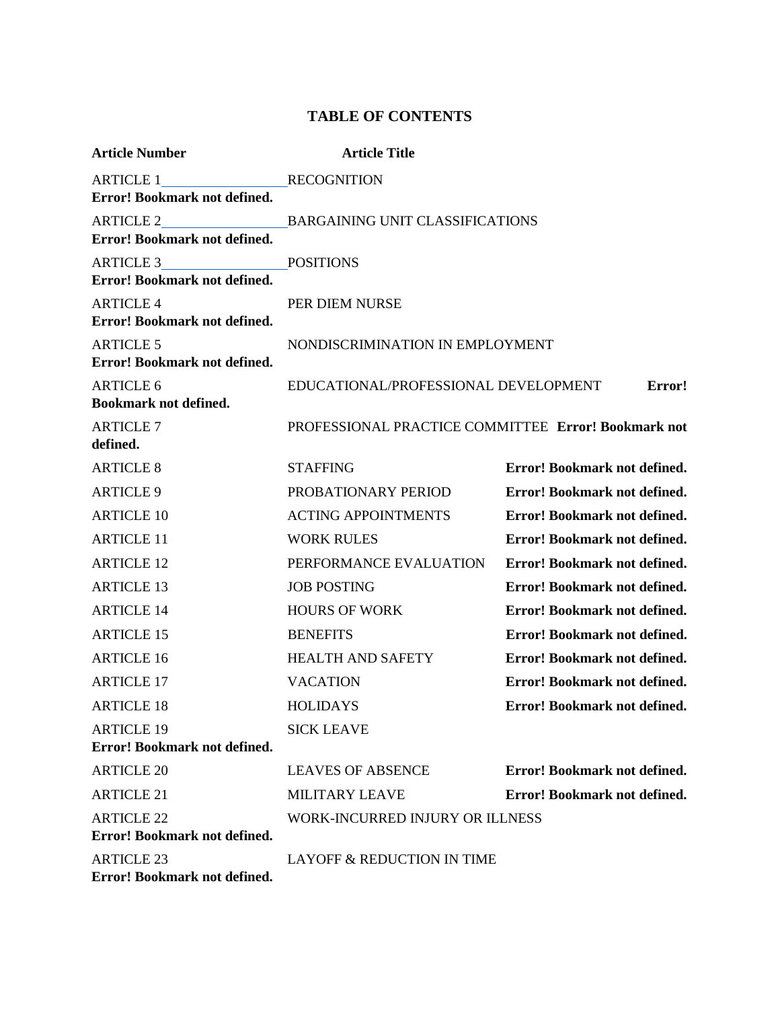## **TABLE OF CONTENTS**

| <b>Article Number</b>                             | <b>Article Title</b>                                |                              |
|---------------------------------------------------|-----------------------------------------------------|------------------------------|
| ARTICLE 1                                         | <b>RECOGNITION</b>                                  |                              |
| <b>Error! Bookmark not defined.</b>               |                                                     |                              |
| ARTICLE 2                                         | <b>BARGAINING UNIT CLASSIFICATIONS</b>              |                              |
| Error! Bookmark not defined.                      |                                                     |                              |
| ARTICLE 3                                         | <b>POSITIONS</b>                                    |                              |
| Error! Bookmark not defined.                      |                                                     |                              |
| <b>ARTICLE 4</b><br>Error! Bookmark not defined.  | PER DIEM NURSE                                      |                              |
| <b>ARTICLE 5</b>                                  | NONDISCRIMINATION IN EMPLOYMENT                     |                              |
| <b>Error! Bookmark not defined.</b>               |                                                     |                              |
| <b>ARTICLE 6</b>                                  | EDUCATIONAL/PROFESSIONAL DEVELOPMENT<br>Error!      |                              |
| <b>Bookmark not defined.</b>                      |                                                     |                              |
| <b>ARTICLE 7</b>                                  | PROFESSIONAL PRACTICE COMMITTEE Error! Bookmark not |                              |
| defined.                                          |                                                     |                              |
| <b>ARTICLE 8</b>                                  | <b>STAFFING</b>                                     | Error! Bookmark not defined. |
| <b>ARTICLE 9</b>                                  | PROBATIONARY PERIOD                                 | Error! Bookmark not defined. |
| <b>ARTICLE 10</b>                                 | <b>ACTING APPOINTMENTS</b>                          | Error! Bookmark not defined. |
| <b>ARTICLE 11</b>                                 | <b>WORK RULES</b>                                   | Error! Bookmark not defined. |
| <b>ARTICLE 12</b>                                 | PERFORMANCE EVALUATION                              | Error! Bookmark not defined. |
| <b>ARTICLE 13</b>                                 | <b>JOB POSTING</b>                                  | Error! Bookmark not defined. |
| <b>ARTICLE 14</b>                                 | <b>HOURS OF WORK</b>                                | Error! Bookmark not defined. |
| <b>ARTICLE 15</b>                                 | <b>BENEFITS</b>                                     | Error! Bookmark not defined. |
| <b>ARTICLE 16</b>                                 | <b>HEALTH AND SAFETY</b>                            | Error! Bookmark not defined. |
| <b>ARTICLE 17</b>                                 | <b>VACATION</b>                                     | Error! Bookmark not defined. |
| <b>ARTICLE 18</b>                                 | <b>HOLIDAYS</b>                                     | Error! Bookmark not defined. |
| <b>ARTICLE 19</b>                                 | <b>SICK LEAVE</b>                                   |                              |
| Error! Bookmark not defined.                      |                                                     |                              |
| <b>ARTICLE 20</b>                                 | <b>LEAVES OF ABSENCE</b>                            | Error! Bookmark not defined. |
| <b>ARTICLE 21</b>                                 | <b>MILITARY LEAVE</b>                               | Error! Bookmark not defined. |
| <b>ARTICLE 22</b>                                 | WORK-INCURRED INJURY OR ILLNESS                     |                              |
| <b>Error! Bookmark not defined.</b>               |                                                     |                              |
| <b>ARTICLE 23</b><br>Error! Bookmark not defined. | LAYOFF & REDUCTION IN TIME                          |                              |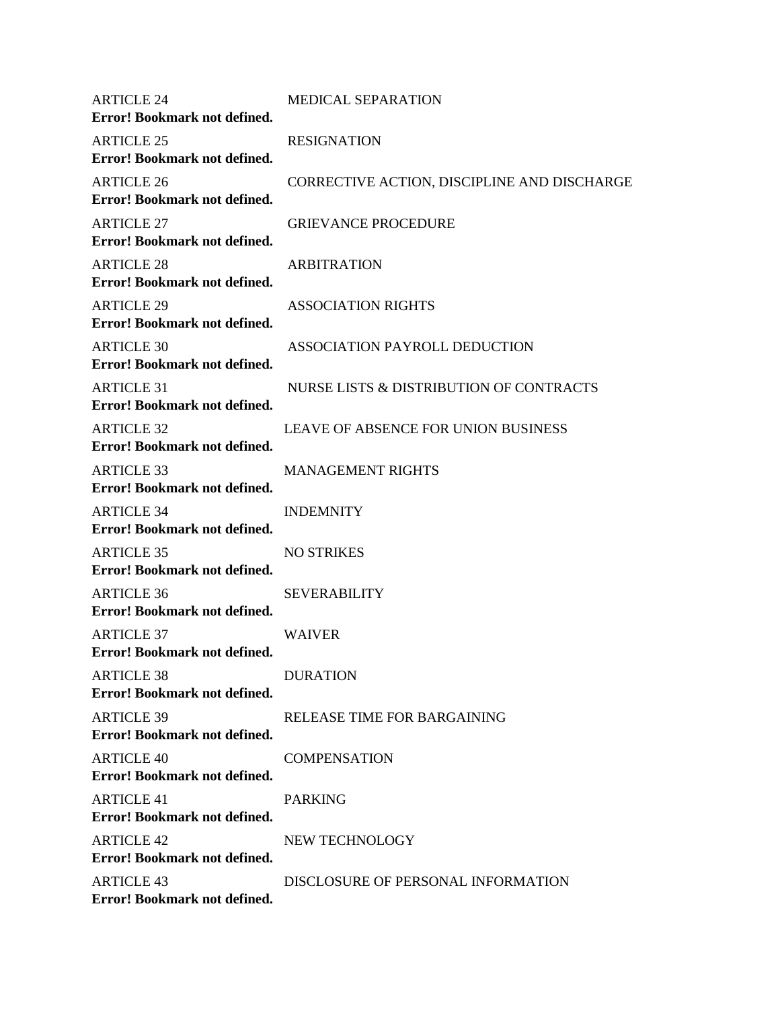| <b>ARTICLE 24</b><br>Error! Bookmark not defined. | <b>MEDICAL SEPARATION</b>                   |
|---------------------------------------------------|---------------------------------------------|
| <b>ARTICLE 25</b><br>Error! Bookmark not defined. | <b>RESIGNATION</b>                          |
| <b>ARTICLE 26</b><br>Error! Bookmark not defined. | CORRECTIVE ACTION, DISCIPLINE AND DISCHARGE |
| <b>ARTICLE 27</b><br>Error! Bookmark not defined. | <b>GRIEVANCE PROCEDURE</b>                  |
| <b>ARTICLE 28</b><br>Error! Bookmark not defined. | <b>ARBITRATION</b>                          |
| <b>ARTICLE 29</b><br>Error! Bookmark not defined. | <b>ASSOCIATION RIGHTS</b>                   |
| <b>ARTICLE 30</b><br>Error! Bookmark not defined. | ASSOCIATION PAYROLL DEDUCTION               |
| <b>ARTICLE 31</b><br>Error! Bookmark not defined. | NURSE LISTS & DISTRIBUTION OF CONTRACTS     |
| <b>ARTICLE 32</b><br>Error! Bookmark not defined. | <b>LEAVE OF ABSENCE FOR UNION BUSINESS</b>  |
| <b>ARTICLE 33</b><br>Error! Bookmark not defined. | <b>MANAGEMENT RIGHTS</b>                    |
| <b>ARTICLE 34</b><br>Error! Bookmark not defined. | <b>INDEMNITY</b>                            |
| <b>ARTICLE 35</b><br>Error! Bookmark not defined. | <b>NO STRIKES</b>                           |
| <b>ARTICLE 36</b><br>Error! Bookmark not defined. | <b>SEVERABILITY</b>                         |
| <b>ARTICLE 37</b><br>Error! Bookmark not defined. | <b>WAIVER</b>                               |
| <b>ARTICLE 38</b><br>Error! Bookmark not defined. | <b>DURATION</b>                             |
| <b>ARTICLE 39</b><br>Error! Bookmark not defined. | RELEASE TIME FOR BARGAINING                 |
| <b>ARTICLE 40</b><br>Error! Bookmark not defined. | <b>COMPENSATION</b>                         |
| <b>ARTICLE 41</b><br>Error! Bookmark not defined. | <b>PARKING</b>                              |
| <b>ARTICLE 42</b><br>Error! Bookmark not defined. | NEW TECHNOLOGY                              |
| <b>ARTICLE 43</b><br>Error! Bookmark not defined. | DISCLOSURE OF PERSONAL INFORMATION          |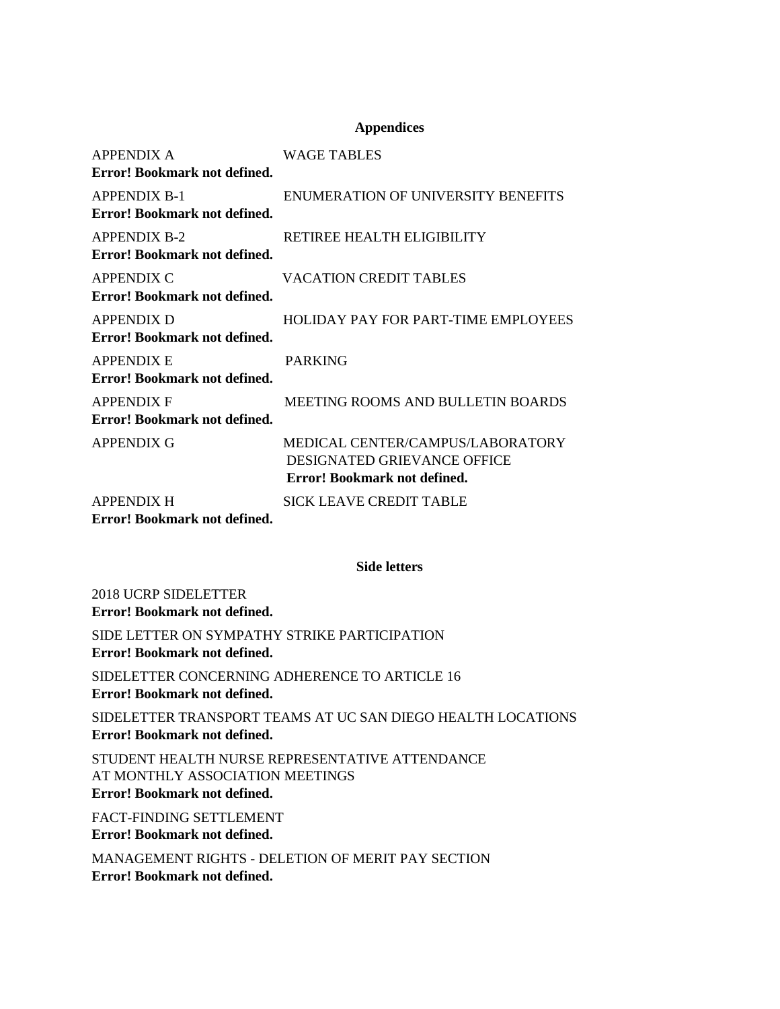## **Appendices**

| <b>APPENDIX A</b>                                                                                | <b>WAGE TABLES</b>                        |
|--------------------------------------------------------------------------------------------------|-------------------------------------------|
| Error! Bookmark not defined.                                                                     |                                           |
| <b>APPENDIX B-1</b>                                                                              | <b>ENUMERATION OF UNIVERSITY BENEFITS</b> |
| Error! Bookmark not defined.                                                                     |                                           |
| <b>APPENDIX B-2</b>                                                                              | RETIREE HEALTH ELIGIBILITY                |
| Error! Bookmark not defined.                                                                     |                                           |
| APPENDIX C                                                                                       | <b>VACATION CREDIT TABLES</b>             |
| Error! Bookmark not defined.                                                                     |                                           |
| <b>APPENDIX D</b>                                                                                | HOLIDAY PAY FOR PART-TIME EMPLOYEES       |
| Error! Bookmark not defined.                                                                     |                                           |
| <b>APPENDIX E</b>                                                                                | <b>PARKING</b>                            |
| Error! Bookmark not defined.                                                                     |                                           |
| <b>APPENDIX F</b>                                                                                | MEETING ROOMS AND BULLETIN BOARDS         |
| Error! Bookmark not defined.                                                                     |                                           |
| <b>APPENDIX G</b>                                                                                | MEDICAL CENTER/CAMPUS/LABORATORY          |
|                                                                                                  | DESIGNATED GRIEVANCE OFFICE               |
|                                                                                                  | Error! Bookmark not defined.              |
| <b>APPENDIX H</b>                                                                                | <b>SICK LEAVE CREDIT TABLE</b>            |
| $\mathbf{r}$ in $\mathbf{r}$<br>$\mathbf{1}$ $\mathbf{1}$ $\mathbf{1}$ $\mathbf{0}$ $\mathbf{1}$ |                                           |

**Error! Bookmark not defined.**

## **Side letters**

2018 UCRP SIDELETTER **Error! Bookmark not defined.**

SIDE LETTER ON SYMPATHY STRIKE PARTICIPATION **Error! Bookmark not defined.**

SIDELETTER CONCERNING ADHERENCE TO ARTICLE 16 **Error! Bookmark not defined.**

SIDELETTER TRANSPORT TEAMS AT UC SAN DIEGO HEALTH LOCATIONS **Error! Bookmark not defined.**

STUDENT HEALTH NURSE REPRESENTATIVE ATTENDANCE AT MONTHLY ASSOCIATION MEETINGS **Error! Bookmark not defined.**

FACT-FINDING SETTLEMENT

**Error! Bookmark not defined.**

MANAGEMENT RIGHTS - DELETION OF MERIT PAY SECTION **Error! Bookmark not defined.**